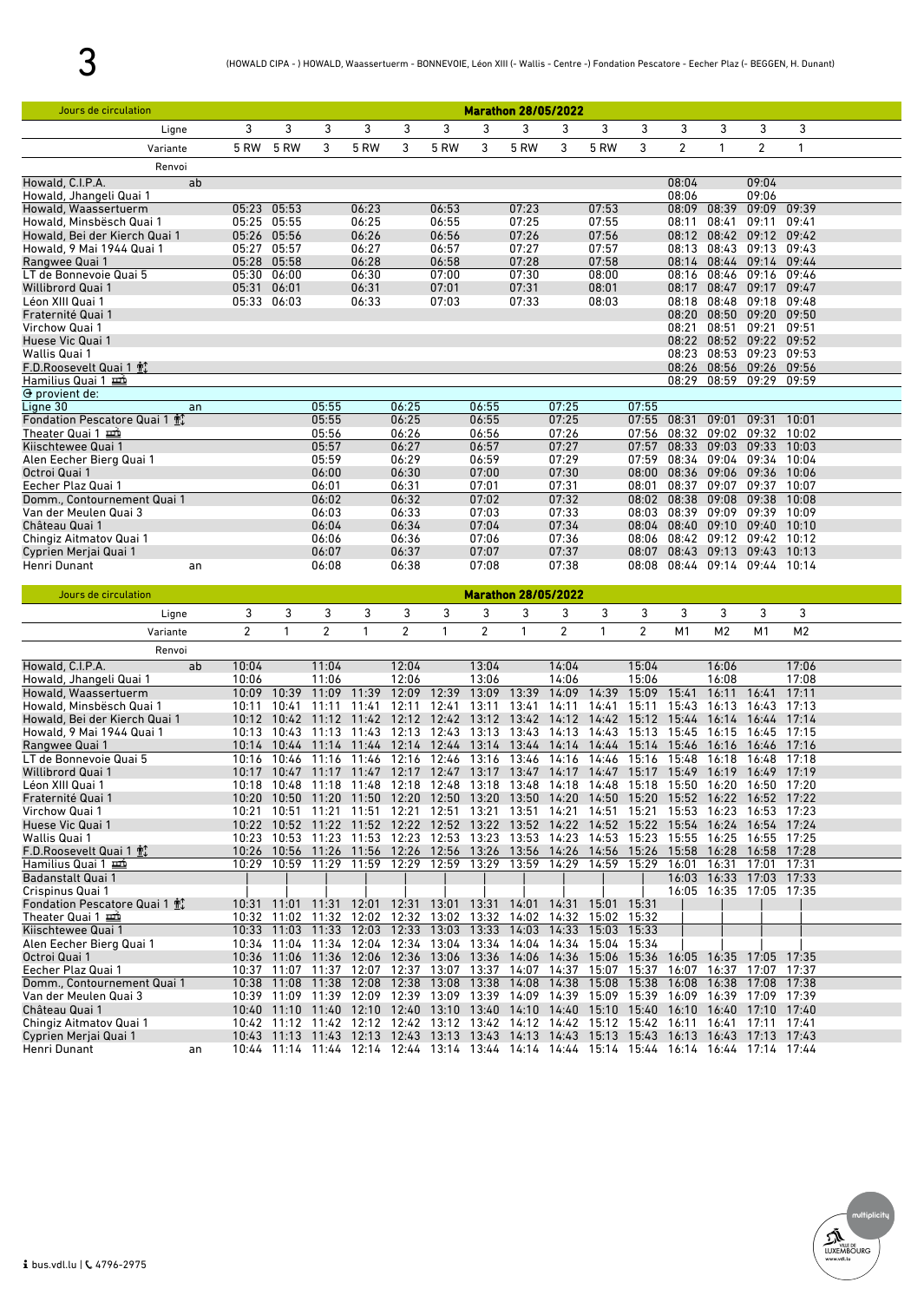| Jours de circulation                                 |                |                      |                |                            |                |                                                                                                                                                                                        |                |                      | <b>Marathon 28/05/2022</b> |                            |                |                |                   |                                  |                |  |
|------------------------------------------------------|----------------|----------------------|----------------|----------------------------|----------------|----------------------------------------------------------------------------------------------------------------------------------------------------------------------------------------|----------------|----------------------|----------------------------|----------------------------|----------------|----------------|-------------------|----------------------------------|----------------|--|
| Ligne                                                | 3              | 3                    | 3              | 3                          | 3              | 3                                                                                                                                                                                      | 3              | 3                    | 3                          | 3                          | 3              | 3              | 3                 | 3                                | 3              |  |
| Variante                                             | 5 RW           | <b>5 RW</b>          | 3              | 5 RW                       | 3              | 5 RW                                                                                                                                                                                   | 3              | <b>5 RW</b>          | 3                          | 5 RW                       | 3              | $\overline{c}$ | 1                 | $\overline{2}$                   | 1              |  |
| Renvoi                                               |                |                      |                |                            |                |                                                                                                                                                                                        |                |                      |                            |                            |                |                |                   |                                  |                |  |
| Howald, C.I.P.A.<br>ab                               |                |                      |                |                            |                |                                                                                                                                                                                        |                |                      |                            |                            |                | 08:04          |                   | 09:04                            |                |  |
| Howald, Jhangeli Quai 1                              |                |                      |                |                            |                |                                                                                                                                                                                        |                |                      |                            |                            |                | 08:06          |                   | 09:06                            |                |  |
| Howald, Waassertuerm                                 | 05:23          | 05:53                |                | 06:23                      |                | 06:53                                                                                                                                                                                  |                | 07:23                |                            | 07:53                      |                | 08:09          | 08:39             | 09:09                            | 09:39          |  |
| Howald, Minsbësch Quai 1                             |                | 05:25 05:55          |                | 06:25                      |                | 06:55                                                                                                                                                                                  |                | 07:25                |                            | 07:55                      |                | 08:11          | 08:41             | 09:11                            | 09:41          |  |
| Howald, Bei der Kierch Quai 1                        |                | 05:26 05:56          |                | 06:26                      |                | 06:56                                                                                                                                                                                  |                | 07:26                |                            | 07:56                      |                | 08:12          |                   | 08:42 09:12 09:42                |                |  |
| Howald, 9 Mai 1944 Quai 1<br>Rangwee Quai 1          | 05:27          | 05:57<br>05:28 05:58 |                | 06:27<br>06:28             |                | 06:57<br>06:58                                                                                                                                                                         |                | 07:27<br>07:28       |                            | 07:57<br>07:58             |                | 08:13          | 08:43             | 09:13<br>08:14 08:44 09:14 09:44 | 09:43          |  |
| LT de Bonnevoie Quai 5                               | 05:30          | 06:00                |                | 06:30                      |                | 07:00                                                                                                                                                                                  |                | 07:30                |                            | 08:00                      |                | 08:16          | 08:46             | 09:16                            | 09:46          |  |
| Willibrord Quai 1                                    | 05:31          | 06:01                |                | 06:31                      |                | 07:01                                                                                                                                                                                  |                | 07:31                |                            | 08:01                      |                | 08:17          |                   | 08:47 09:17 09:47                |                |  |
| Léon XIII Quai 1                                     |                | 05:33 06:03          |                | 06:33                      |                | 07:03                                                                                                                                                                                  |                | 07:33                |                            | 08:03                      |                | 08:18          | 08:48             | 09:18                            | 09:48          |  |
| Fraternité Quai 1                                    |                |                      |                |                            |                |                                                                                                                                                                                        |                |                      |                            |                            |                | 08:20          | 08:50             | 09:20                            | 09:50          |  |
| Virchow Quai 1<br>Huese Vic Quai 1                   |                |                      |                |                            |                |                                                                                                                                                                                        |                |                      |                            |                            |                | 08:21<br>08:22 | 08:51             | 09:21<br>08:52 09:22 09:52       | 09:51          |  |
| Wallis Quai 1                                        |                |                      |                |                            |                |                                                                                                                                                                                        |                |                      |                            |                            |                |                |                   | 08:23 08:53 09:23 09:53          |                |  |
| F.D.Roosevelt Quai 1 帕                               |                |                      |                |                            |                |                                                                                                                                                                                        |                |                      |                            |                            |                |                |                   | 08:26 08:56 09:26 09:56          |                |  |
| Hamilius Quai 1 亜                                    |                |                      |                |                            |                |                                                                                                                                                                                        |                |                      |                            |                            |                | 08:29          |                   | 08:59 09:29                      | 09:59          |  |
| $\Theta$ provient de:                                |                |                      |                |                            |                |                                                                                                                                                                                        |                |                      |                            |                            |                |                |                   |                                  |                |  |
| Ligne 30<br>an                                       |                |                      | 05:55          |                            | 06:25          |                                                                                                                                                                                        | 06:55<br>06:55 |                      | 07:25                      |                            | 07:55<br>07:55 | 08:31          | 09:01             | 09:31                            | 10:01          |  |
| Fondation Pescatore Quai 1 m<br>Theater Quai 1 亜     |                |                      | 05:55<br>05:56 |                            | 06:25<br>06:26 |                                                                                                                                                                                        | 06:56          |                      | 07:25<br>07:26             |                            | 07:56          | 08:32          | 09:02             | 09:32                            | 10:02          |  |
| Kiischtewee Quai 1                                   |                |                      | 05:57          |                            | 06:27          |                                                                                                                                                                                        | 06:57          |                      | 07:27                      |                            | 07:57          | 08:33          | 09:03             | 09:33                            | 10:03          |  |
| Alen Eecher Bierg Quai 1                             |                |                      | 05:59          |                            | 06:29          |                                                                                                                                                                                        | 06:59          |                      | 07:29                      |                            | 07:59          | 08:34          |                   | 09:04 09:34                      | 10:04          |  |
| Octroi Quai 1                                        |                |                      | 06:00          |                            | 06:30          |                                                                                                                                                                                        | 07:00          |                      | 07:30                      |                            | 08:00          | 08:36          | 09:06             | 09:36                            | 10:06          |  |
| Eecher Plaz Quai 1                                   |                |                      | 06:01          |                            | 06:31          |                                                                                                                                                                                        | 07:01          |                      | 07:31                      |                            | 08:01          | 08:37          | 09:07             | 09:37                            | 10:07          |  |
| Domm., Contournement Quai 1<br>Van der Meulen Quai 3 |                |                      | 06:02<br>06:03 |                            | 06:32<br>06:33 |                                                                                                                                                                                        | 07:02<br>07:03 |                      | 07:32<br>07:33             |                            | 08:02<br>08:03 | 08:38<br>08:39 | 09:08             | 09:38<br>09:09 09:39 10:09       | 10:08          |  |
| Château Quai 1                                       |                |                      | 06:04          |                            | 06:34          |                                                                                                                                                                                        | 07:04          |                      | 07:34                      |                            |                | 08:04 08:40    | 09:10             | 09:40                            | 10:10          |  |
| Chingiz Aitmatov Quai 1                              |                |                      | 06:06          |                            | 06:36          |                                                                                                                                                                                        | 07:06          |                      | 07:36                      |                            | 08:06          |                |                   | 08:42 09:12 09:42 10:12          |                |  |
| Cyprien Merjai Quai 1                                |                |                      | 06:07          |                            | 06:37          |                                                                                                                                                                                        | 07:07          |                      | 07:37                      |                            | 08:07          |                | 08:43 09:13 09:43 |                                  | 10:13          |  |
| Henri Dunant<br>an                                   |                |                      | 06:08          |                            | 06:38          |                                                                                                                                                                                        | 07:08          |                      | 07:38                      |                            | 08:08          |                |                   | 08:44 09:14 09:44 10:14          |                |  |
|                                                      |                |                      |                |                            |                |                                                                                                                                                                                        |                |                      |                            |                            |                |                |                   |                                  |                |  |
| Jours de circulation                                 |                |                      |                |                            |                |                                                                                                                                                                                        |                |                      | <b>Marathon 28/05/2022</b> |                            |                |                |                   |                                  |                |  |
| Ligne                                                | 3              | 3                    | 3              | 3                          | 3              | 3                                                                                                                                                                                      | 3              | 3                    | 3                          | 3                          | 3              | 3              | 3                 | 3                                | 3              |  |
|                                                      | $\overline{2}$ | $\mathbf{1}$         |                | 1                          |                | $\mathbf{1}$                                                                                                                                                                           |                | $\mathbf{1}$         |                            | $\mathbf{1}$               |                |                |                   | M1                               |                |  |
| Variante                                             |                |                      | $\overline{c}$ |                            | $\overline{2}$ |                                                                                                                                                                                        | $\overline{c}$ |                      | $\overline{2}$             |                            | $\overline{2}$ | M1             | M <sub>2</sub>    |                                  | M <sub>2</sub> |  |
| Renvoi                                               |                |                      |                |                            |                |                                                                                                                                                                                        |                |                      |                            |                            |                |                |                   |                                  |                |  |
| Howald, C.I.P.A.<br>ab                               | 10:04          |                      | 11:04          |                            | 12:04          |                                                                                                                                                                                        | 13:04          |                      | 14:04                      |                            | 15:04          |                | 16:06             |                                  | 17:06          |  |
| Howald, Jhangeli Quai 1<br>Howald, Waassertuerm      | 10:06<br>10:09 | 10:39                | 11:06<br>11:09 | 11:39                      | 12:06<br>12:09 | 12:39                                                                                                                                                                                  | 13:06<br>13:09 | 13:39                | 14:06<br>14:09             | 14:39                      | 15:06<br>15:09 | 15:41          | 16:08<br>16:11    | 16:41                            | 17:08<br>17:11 |  |
| Howald, Minsbësch Quai 1                             | 10:11          | 10:41                | 11:11          | 11:41                      | 12:11          | 12:41                                                                                                                                                                                  | 13:11          | 13:41                | 14:11                      | 14:41                      | 15:11          | 15:43          | 16:13             | 16:43                            | 17:13          |  |
| Howald, Bei der Kierch Quai 1                        | 10:12          | 10:42                | 11:12          | 11:42                      | 12:12          | 12:42                                                                                                                                                                                  | 13:12          | 13:42                | 14:12                      | 14:42                      | 15:12          | 15:44          | 16:14             | 16:44                            | 17:14          |  |
| Howald, 9 Mai 1944 Quai 1                            | 10:13          | 10:43                | 11:13          | 11:43                      | 12:13          | 12:43                                                                                                                                                                                  | 13:13          | 13:43                | 14:13 14:43                |                            | 15:13          | 15:45          | 16:15             | 16:45                            | 17:15          |  |
| Rangwee Quai 1<br>LT de Bonnevoie Quai 5             | 10:16          | 10:14 10:44<br>10:46 | 11:14<br>11:16 | 11:44 12:14 12:44<br>11:46 | 12:16          | 12:46                                                                                                                                                                                  | 13:16          | 13:14 13:44<br>13:46 | 14:16                      | 14:14 14:44 15:14<br>14:46 | 15:16          | 15:46<br>15:48 | 16:16<br>16:18    | 16:46<br>16:48                   | 17:16<br>17:18 |  |
| Willibrord Quai 1                                    | 10:17          | 10:47                | 11:17          | 11:47                      | 12:17          | 12:47                                                                                                                                                                                  |                | 13:17 13:47          | 14:17                      | 14:47                      | 15:17          | 15:49          | 16:19             | 16:49                            | 17:19          |  |
| Léon XIII Quai 1                                     | 10:18          | 10:48                | 11:18          | 11:48 12:18                |                | 12:48                                                                                                                                                                                  | 13:18 13:48    |                      | 14:18                      | 14:48 15:18                |                | 15:50          | 16:20             | 16:50 17:20                      |                |  |
| Fraternité Quai 1                                    |                |                      |                |                            |                | 10:20 10:50 11:20 11:50 12:20 12:50 13:20 13:50 14:20 14:50 15:20 15:52 16:22 16:52 17:22                                                                                              |                |                      |                            |                            |                |                |                   |                                  |                |  |
| Virchow Quai 1                                       |                |                      |                |                            |                | 10:21 10:51 11:21 11:51 12:21 12:51 13:21 13:51 14:21 14:51 15:21 15:53 16:23 16:53 17:23                                                                                              |                |                      |                            |                            |                |                |                   |                                  |                |  |
| Huese Vic Quai 1<br>Wallis Quai 1                    |                |                      |                |                            |                | 10:22 10:52 11:22 11:52 12:22 12:52 13:22 13:52 14:22 14:52 15:22 15:54 16:24 16:54 17:24<br>10:23 10:53 11:23 11:53 12:23 12:53 13:23 13:53 14:23 14:53 15:23 15:55 16:25 16:55 17:25 |                |                      |                            |                            |                |                |                   |                                  |                |  |
| F.D.Roosevelt Quai 1 not                             |                |                      |                |                            |                | 10:26 10:56 11:26 11:56 12:26 12:56 13:26 13:56 14:26 14:56 15:26 15:58 16:28 16:58 17:28                                                                                              |                |                      |                            |                            |                |                |                   |                                  |                |  |
| Hamilius Quai 1                                      |                |                      |                |                            |                | 10:29 10:59 11:29 11:59 12:29 12:59 13:29 13:59                                                                                                                                        |                |                      |                            | 14:29 14:59 15:29          |                | 16:01          | 16:31             | 17:01                            | 17:31          |  |
| Badanstalt Quai 1                                    |                |                      |                |                            |                |                                                                                                                                                                                        |                |                      |                            |                            |                |                |                   | 16:03 16:33 17:03 17:33          |                |  |
| Crispinus Quai 1                                     |                |                      |                |                            |                |                                                                                                                                                                                        |                |                      |                            |                            |                |                |                   | 16:05 16:35 17:05 17:35          |                |  |
| Fondation Pescatore Quai 1 m<br>Theater Quai 1       |                | 10:32 11:02          |                |                            |                | 10:31 11:01 11:31 12:01 12:31 13:01 13:31 14:01 14:31 15:01 15:31<br>11:32 12:02 12:32 13:02 13:32 14:02                                                                               |                |                      |                            | 14:32 15:02 15:32          |                |                |                   |                                  |                |  |
| Kiischtewee Quai 1                                   |                | 10:33 11:03 11:33    |                |                            |                | 12:03 12:33 13:03 13:33 14:03 14:33 15:03 15:33                                                                                                                                        |                |                      |                            |                            |                |                |                   |                                  |                |  |
| Alen Eecher Bierg Quai 1                             |                |                      |                |                            |                | 10:34 11:04 11:34 12:04 12:34 13:04 13:34 14:04 14:34 15:04 15:34                                                                                                                      |                |                      |                            |                            |                |                |                   |                                  |                |  |
| Octroi Quai 1                                        |                |                      |                |                            |                | 10:36 11:06 11:36 12:06 12:36 13:06 13:36 14:06 14:36 15:06 15:36 16:05 16:35 17:05 17:35                                                                                              |                |                      |                            |                            |                |                |                   |                                  |                |  |
| Eecher Plaz Quai 1                                   |                |                      |                |                            |                | 10:37 11:07 11:37 12:07 12:37 13:07 13:37 14:07 14:37 15:07 15:37 16:07 16:37 17:07 17:37                                                                                              |                |                      |                            |                            |                |                |                   |                                  |                |  |
| Domm., Contournement Quai 1                          |                |                      |                |                            |                | 10:38 11:08 11:38 12:08 12:38 13:08 13:38 14:08 14:38 15:08 15:38                                                                                                                      |                |                      |                            |                            |                |                |                   | 16:08 16:38 17:08 17:38          |                |  |
| Van der Meulen Quai 3<br>Château Quai 1              |                |                      |                |                            |                | 10:39 11:09 11:39 12:09 12:39 13:09 13:39 14:09 14:39 15:09 15:39 16:09 16:39 17:09 17:39<br>10:40 11:10 11:40 12:10 12:40 13:10 13:40 14:10 14:40 15:10 15:40 16:10 16:40 17:10 17:40 |                |                      |                            |                            |                |                |                   |                                  |                |  |
| Chingiz Aitmatov Quai 1                              |                |                      |                |                            |                | 10:42 11:12 11:42 12:12 12:42 13:12 13:42 14:12 14:42 15:12 15:42 16:11 16:41 17:11 17:41                                                                                              |                |                      |                            |                            |                |                |                   |                                  |                |  |
| Cyprien Merjai Quai 1<br>Henri Dunant<br>an          |                |                      |                |                            |                | 10:43 11:13 11:43 12:13 12:43 13:13 13:43 14:13 14:43 15:13 15:43 16:13 16:43 17:13 17:43<br>10:44 11:14 11:44 12:14 12:44 13:14 13:44 14:14 14:44 15:14 15:44 16:14 16:44 17:14 17:44 |                |                      |                            |                            |                |                |                   |                                  |                |  |

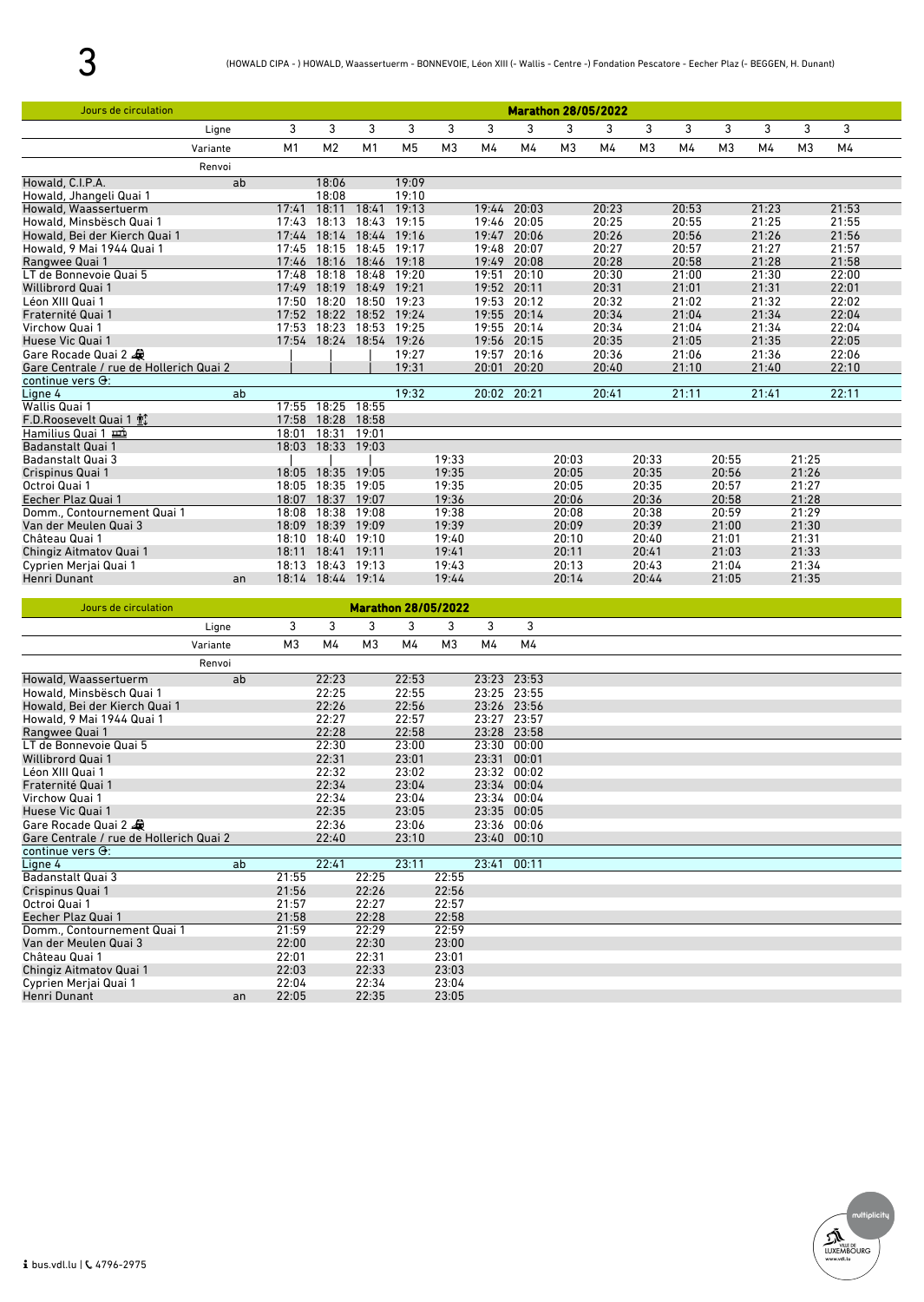| Jours de circulation                    |          |       |                   |                |                |                |       |       |                | <b>Marathon 28/05/2022</b> |                |       |                |       |                |       |
|-----------------------------------------|----------|-------|-------------------|----------------|----------------|----------------|-------|-------|----------------|----------------------------|----------------|-------|----------------|-------|----------------|-------|
|                                         | Ligne    | 3     | 3                 | 3              | 3              | 3              | 3     | 3     | 3              | 3                          | 3              | 3     | 3              | 3     | 3              | 3     |
|                                         | Variante | M1    | M <sub>2</sub>    | M <sub>1</sub> | M <sub>5</sub> | M <sub>3</sub> | M4    | M4    | M <sub>3</sub> | M4                         | M <sub>3</sub> | M4    | M <sub>3</sub> | M4    | M <sub>3</sub> | M4    |
|                                         | Renvoi   |       |                   |                |                |                |       |       |                |                            |                |       |                |       |                |       |
| Howald, C.I.P.A.                        | ab       |       | 18:06             |                | 19:09          |                |       |       |                |                            |                |       |                |       |                |       |
| Howald, Jhangeli Quai 1                 |          |       | 18:08             |                | 19:10          |                |       |       |                |                            |                |       |                |       |                |       |
| Howald, Waassertuerm                    |          | 17:41 | 18:11             | 18:41          | 19:13          |                | 19:44 | 20:03 |                | 20:23                      |                | 20:53 |                | 21:23 |                | 21:53 |
| Howald, Minsbësch Quai 1                |          | 17:43 | 18:13             | 18:43          | 19:15          |                | 19:46 | 20:05 |                | 20:25                      |                | 20:55 |                | 21:25 |                | 21:55 |
| Howald, Bei der Kierch Quai 1           |          | 17:44 | 18:14             | 18:44          | 19:16          |                | 19:47 | 20:06 |                | 20:26                      |                | 20:56 |                | 21:26 |                | 21:56 |
| Howald, 9 Mai 1944 Quai 1               |          | 17:45 | 18:15             | 18:45          | 19:17          |                | 19:48 | 20:07 |                | 20:27                      |                | 20:57 |                | 21:27 |                | 21:57 |
| Rangwee Quai 1                          |          | 17:46 | 18:16             | 18:46          | 19:18          |                | 19:49 | 20:08 |                | 20:28                      |                | 20:58 |                | 21:28 |                | 21:58 |
| LT de Bonnevoie Quai 5                  |          | 17:48 | 18:18             | 18:48          | 19:20          |                | 19:51 | 20:10 |                | 20:30                      |                | 21:00 |                | 21:30 |                | 22:00 |
| <b>Willibrord Quai 1</b>                |          | 17:49 | 18:19             | 18:49          | 19:21          |                | 19:52 | 20:11 |                | 20:31                      |                | 21:01 |                | 21:31 |                | 22:01 |
| Léon XIII Quai 1                        |          | 17:50 | 18:20             | 18:50          | 19:23          |                | 19:53 | 20:12 |                | 20:32                      |                | 21:02 |                | 21:32 |                | 22:02 |
| Fraternité Quai 1                       |          | 17:52 | 18:22             | 18:52          | 19:24          |                | 19:55 | 20:14 |                | 20:34                      |                | 21:04 |                | 21:34 |                | 22:04 |
| Virchow Quai 1                          |          | 17:53 | 18:23             | 18:53          | 19:25          |                | 19:55 | 20:14 |                | 20:34                      |                | 21:04 |                | 21:34 |                | 22:04 |
| Huese Vic Quai 1                        |          |       | 17:54 18:24       | 18:54          | 19:26          |                | 19:56 | 20:15 |                | 20:35                      |                | 21:05 |                | 21:35 |                | 22:05 |
| Gare Rocade Quai 2                      |          |       |                   |                | 19:27          |                | 19:57 | 20:16 |                | 20:36                      |                | 21:06 |                | 21:36 |                | 22:06 |
| Gare Centrale / rue de Hollerich Quai 2 |          |       |                   |                | 19:31          |                | 20:01 | 20:20 |                | 20:40                      |                | 21:10 |                | 21:40 |                | 22:10 |
| continue vers $\Theta$ :                |          |       |                   |                |                |                |       |       |                |                            |                |       |                |       |                |       |
| Ligne 4                                 | ab       |       |                   |                | 19:32          |                | 20:02 | 20:21 |                | 20:41                      |                | 21:11 |                | 21:41 |                | 22:11 |
| Wallis Quai 1                           |          | 17:55 | 18:25             | 18:55          |                |                |       |       |                |                            |                |       |                |       |                |       |
| F.D.Roosevelt Quai 1 配                  |          | 17:58 | 18:28             | 18:58          |                |                |       |       |                |                            |                |       |                |       |                |       |
| Hamilius Quai 1                         |          | 18:01 | 18:31             | 19:01          |                |                |       |       |                |                            |                |       |                |       |                |       |
| <b>Badanstalt Quai 1</b>                |          | 18:03 | 18:33 19:03       |                |                |                |       |       |                |                            |                |       |                |       |                |       |
| <b>Badanstalt Quai 3</b>                |          |       |                   |                |                | 19:33          |       |       | 20:03          |                            | 20:33          |       | 20:55          |       | 21:25          |       |
| Crispinus Quai 1                        |          | 18:05 | 18:35             | 19:05          |                | 19:35          |       |       | 20:05          |                            | 20:35          |       | 20:56          |       | 21:26          |       |
| Octroi Quai 1                           |          | 18:05 | 18:35             | 19:05          |                | 19:35          |       |       | 20:05          |                            | 20:35          |       | 20:57          |       | 21:27          |       |
| Eecher Plaz Quai 1                      |          | 18:07 | 18:37             | 19:07          |                | 19:36          |       |       | 20:06          |                            | 20:36          |       | 20:58          |       | 21:28          |       |
| Domm., Contournement Quai 1             |          | 18:08 | 18:38             | 19:08          |                | 19:38          |       |       | 20:08          |                            | 20:38          |       | 20:59          |       | 21:29          |       |
| Van der Meulen Quai 3                   |          | 18:09 | 18:39             | 19:09          |                | 19:39          |       |       | 20:09          |                            | 20:39          |       | 21:00          |       | 21:30          |       |
| Château Quai 1                          |          | 18:10 | 18:40             | 19:10          |                | 19:40          |       |       | 20:10          |                            | 20:40          |       | 21:01          |       | 21:31          |       |
| Chingiz Aitmatov Quai 1                 |          | 18:11 | 18:41             | 19:11          |                | 19:41          |       |       | 20:11          |                            | 20:41          |       | 21:03          |       | 21:33          |       |
| Cyprien Merjai Quai 1                   |          | 18:13 | 18:43             | 19:13          |                | 19:43          |       |       | 20:13          |                            | 20:43          |       | 21:04          |       | 21:34          |       |
| Henri Dunant                            | an       |       | 18:14 18:44 19:14 |                |                | 19:44          |       |       | 20:14          |                            | 20:44          |       | 21:05          |       | 21:35          |       |

| Jours de circulation                    |          |                |       | <b>Marathon 28/05/2022</b> |       |                |             |       |
|-----------------------------------------|----------|----------------|-------|----------------------------|-------|----------------|-------------|-------|
|                                         | Ligne    | 3              | 3     | 3                          | 3     | 3              | 3           | 3     |
|                                         | Variante | M <sub>3</sub> | M4    | M <sub>3</sub>             | M4    | M <sub>3</sub> | M4          | M4    |
|                                         | Renvoi   |                |       |                            |       |                |             |       |
| Howald, Waassertuerm                    | ab       |                | 22:23 |                            | 22:53 |                | 23:23 23:53 |       |
| Howald, Minsbësch Quai 1                |          |                | 22:25 |                            | 22:55 |                | 23:25 23:55 |       |
| Howald, Bei der Kierch Quai 1           |          |                | 22:26 |                            | 22:56 |                | 23:26 23:56 |       |
| Howald, 9 Mai 1944 Quai 1               |          |                | 22:27 |                            | 22:57 |                | 23:27 23:57 |       |
| Rangwee Quai 1                          |          |                | 22:28 |                            | 22:58 |                | 23:28       | 23:58 |
| LT de Bonnevoie Quai 5                  |          |                | 22:30 |                            | 23:00 |                | 23:30       | 00:00 |
| <b>Willibrord Quai 1</b>                |          |                | 22:31 |                            | 23:01 |                | 23:31       | 00:01 |
| Léon XIII Quai 1                        |          |                | 22:32 |                            | 23:02 |                | 23:32       | 00:02 |
| Fraternité Quai 1                       |          |                | 22:34 |                            | 23:04 |                | 23:34 00:04 |       |
| Virchow Quai 1                          |          |                | 22:34 |                            | 23:04 |                | 23:34 00:04 |       |
| Huese Vic Quai 1                        |          |                | 22:35 |                            | 23:05 |                | 23:35 00:05 |       |
| Gare Rocade Quai 2                      |          |                | 22:36 |                            | 23:06 |                | 23:36 00:06 |       |
| Gare Centrale / rue de Hollerich Quai 2 |          |                | 22:40 |                            | 23:10 |                | 23:40       | 00:10 |
| continue vers $\Theta$ :                |          |                |       |                            |       |                |             |       |
| Ligne 4                                 | ab       |                | 22:41 |                            | 23:11 |                | 23:41       | 00:11 |
| <b>Badanstalt Quai 3</b>                |          | 21:55          |       | 22:25                      |       | 22:55          |             |       |
| Crispinus Quai 1                        |          | 21:56          |       | 22:26                      |       | 22:56          |             |       |
| Octroi Quai 1                           |          | 21:57          |       | 22:27                      |       | 22:57          |             |       |
| Eecher Plaz Quai 1                      |          | 21:58          |       | 22:28                      |       | 22:58          |             |       |
| Domm., Contournement Quai 1             |          | 21:59          |       | 22:29                      |       | 22:59          |             |       |
| Van der Meulen Quai 3                   |          | 22:00          |       | 22:30                      |       | 23:00          |             |       |
| Château Quai 1                          |          | 22:01          |       | 22:31                      |       | 23:01          |             |       |
| Chingiz Aitmatov Quai 1                 |          | 22:03          |       | 22:33                      |       | 23:03          |             |       |
| Cyprien Merjai Quai 1                   |          | 22:04          |       | 22:34                      |       | 23:04          |             |       |
| Henri Dunant                            | an       | 22:05          |       | 22:35                      |       | 23:05          |             |       |

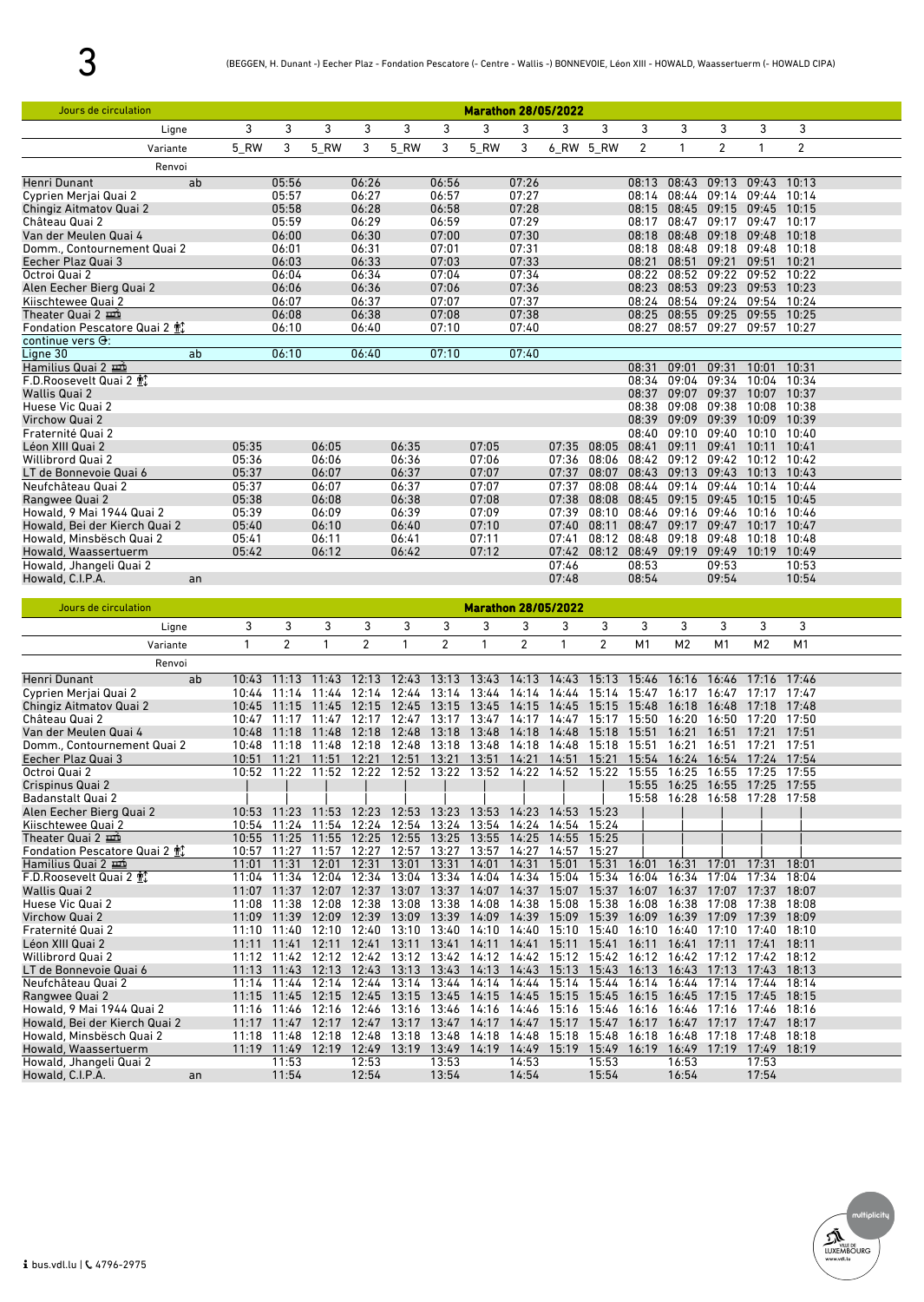| Jours de circulation          |       |       |       |       |       |       | <b>Marathon 28/05/2022</b> |       |       |       |             |                   |             |             |                |  |
|-------------------------------|-------|-------|-------|-------|-------|-------|----------------------------|-------|-------|-------|-------------|-------------------|-------------|-------------|----------------|--|
| Ligne                         | 3     | 3     | 3     | 3     | 3     | 3     | 3                          | 3     | 3     | 3     | 3           | 3                 | 3           | 3           | 3              |  |
| Variante                      | 5 RW  | 3     | 5_RW  | 3     | 5 RW  | 3     | 5_RW                       | 3     | 6_RW  | 5_RW  | 2           | 1                 | 2           | 1           | $\overline{2}$ |  |
| Renvoi                        |       |       |       |       |       |       |                            |       |       |       |             |                   |             |             |                |  |
| Henri Dunant                  | ab    | 05:56 |       | 06:26 |       | 06:56 |                            | 07:26 |       |       | 08:13 08:43 |                   | 09:13       | 09:43       | 10:13          |  |
| Cyprien Meriai Quai 2         |       | 05:57 |       | 06:27 |       | 06:57 |                            | 07:27 |       |       | 08:14 08:44 |                   | 09:14       | 09:44       | 10:14          |  |
| Chingiz Aitmatov Quai 2       |       | 05:58 |       | 06:28 |       | 06:58 |                            | 07:28 |       |       | 08:15       | 08:45             | 09:15       | 09:45       | 10:15          |  |
| Château Quai 2                |       | 05:59 |       | 06:29 |       | 06:59 |                            | 07:29 |       |       | 08:17       | 08:47             | 09:17       | 09:47       | 10:17          |  |
| Van der Meulen Quai 4         |       | 06:00 |       | 06:30 |       | 07:00 |                            | 07:30 |       |       | 08:18       | 08:48             | 09:18       | 09:48       | 10:18          |  |
| Domm., Contournement Quai 2   |       | 06:01 |       | 06:31 |       | 07:01 |                            | 07:31 |       |       | 08:18       | 08:48             | 09:18       | 09:48       | 10:18          |  |
| Eecher Plaz Quai 3            |       | 06:03 |       | 06:33 |       | 07:03 |                            | 07:33 |       |       | 08:21       | 08:51             | 09:21       | 09:51       | 10:21          |  |
| Octroi Quai 2                 |       | 06:04 |       | 06:34 |       | 07:04 |                            | 07:34 |       |       | 08:22       | 08:52             | 09:22       | 09:52       | 10:22          |  |
| Alen Eecher Bierg Quai 2      |       | 06:06 |       | 06:36 |       | 07:06 |                            | 07:36 |       |       | 08:23       | 08:53 09:23       |             | 09:53 10:23 |                |  |
| Kiischtewee Quai 2            |       | 06:07 |       | 06:37 |       | 07:07 |                            | 07:37 |       |       |             | 08:24 08:54 09:24 |             | 09:54 10:24 |                |  |
| Theater Quai 2                |       | 06:08 |       | 06:38 |       | 07:08 |                            | 07:38 |       |       | 08:25       | 08:55             | 09:25 09:55 |             | 10:25          |  |
| Fondation Pescatore Quai 2 帕  |       | 06:10 |       | 06:40 |       | 07:10 |                            | 07:40 |       |       | 08:27       | 08:57             | 09:27       | 09:57 10:27 |                |  |
| continue vers $\Theta$ :      |       |       |       |       |       |       |                            |       |       |       |             |                   |             |             |                |  |
| Ligne 30                      | ab    | 06:10 |       | 06:40 |       | 07:10 |                            | 07:40 |       |       |             |                   |             |             |                |  |
| Hamilius Quai 2               |       |       |       |       |       |       |                            |       |       |       | 08:31       | 09:01             | 09:31       | 10:01       | 10:31          |  |
| F.D.Roosevelt Quai 2 配        |       |       |       |       |       |       |                            |       |       |       | 08:34       | 09:04             | 09:34       | 10:04       | 10:34          |  |
| <b>Wallis Quai 2</b>          |       |       |       |       |       |       |                            |       |       |       | 08:37       | 09:07             | 09:37       | 10:07       | 10:37          |  |
| Huese Vic Quai 2              |       |       |       |       |       |       |                            |       |       |       | 08:38       | 09:08             | 09:38       | 10:08       | 10:38          |  |
| Virchow Quai 2                |       |       |       |       |       |       |                            |       |       |       | 08:39       | 09:09             | 09:39       | 10:09       | 10:39          |  |
| Fraternité Quai 2             |       |       |       |       |       |       |                            |       |       |       | 08:40       | 09:10             | 09:40       | 10:10       | 10:40          |  |
| Léon XIII Quai 2              | 05:35 |       | 06:05 |       | 06:35 |       | 07:05                      |       | 07:35 | 08:05 | 08:41       | 09:11             | 09:41       | 10:11       | 10:41          |  |
| <b>Willibrord Quai 2</b>      | 05:36 |       | 06:06 |       | 06:36 |       | 07:06                      |       | 07:36 | 08:06 | 08:42       | 09:12             | 09:42       | 10:12       | 10:42          |  |
| LT de Bonnevoie Quai 6        | 05:37 |       | 06:07 |       | 06:37 |       | 07:07                      |       | 07:37 | 08:07 | 08:43       | 09:13             | 09:43       | 10:13       | 10:43          |  |
| Neufchâteau Quai 2            | 05:37 |       | 06:07 |       | 06:37 |       | 07:07                      |       | 07:37 | 08:08 | 08:44       | 09:14             | 09:44       | 10:14       | 10:44          |  |
| Rangwee Quai 2                | 05:38 |       | 06:08 |       | 06:38 |       | 07:08                      |       | 07:38 | 08:08 | 08:45       | 09:15             | 09:45       | 10:15       | 10:45          |  |
| Howald, 9 Mai 1944 Quai 2     | 05:39 |       | 06:09 |       | 06:39 |       | 07:09                      |       | 07:39 | 08:10 | 08:46       | 09:16             | 09:46       | 10:16       | 10:46          |  |
| Howald, Bei der Kierch Quai 2 | 05:40 |       | 06:10 |       | 06:40 |       | 07:10                      |       | 07:40 | 08:11 | 08:47       | 09:17             | 09:47       | 10:17       | 10:47          |  |
| Howald, Minsbësch Quai 2      | 05:41 |       | 06:11 |       | 06:41 |       | 07:11                      |       | 07:41 | 08:12 | 08:48       | 09:18             | 09:48       | 10:18       | 10:48          |  |
| Howald, Waassertuerm          | 05:42 |       | 06:12 |       | 06:42 |       | 07:12                      |       | 07:42 | 08:12 | 08:49       | 09:19             | 09:49       | 10:19       | 10:49          |  |
| Howald, Jhangeli Quai 2       |       |       |       |       |       |       |                            |       | 07:46 |       | 08:53       |                   | 09:53       |             | 10:53          |  |
| Howald, C.I.P.A.              | an    |       |       |       |       |       |                            |       | 07:48 |       | 08:54       |                   | 09:54       |             | 10:54          |  |

| Jours de circulation          |             |             |       |                |       |                |       | <b>Marathon 28/05/2022</b> |       |       |       |                |             |                   |       |  |
|-------------------------------|-------------|-------------|-------|----------------|-------|----------------|-------|----------------------------|-------|-------|-------|----------------|-------------|-------------------|-------|--|
| Ligne                         | 3           | 3           | 3     | 3              | 3     | 3              | 3     | 3                          | 3     | 3     | 3     | 3              | 3           | 3                 | 3     |  |
| Variante                      | 1           | 2           |       | $\overline{2}$ |       | $\overline{2}$ |       | $\overline{2}$             |       | 2     | M1    | M <sub>2</sub> | M1          | M <sub>2</sub>    | M1    |  |
| Renvoi                        |             |             |       |                |       |                |       |                            |       |       |       |                |             |                   |       |  |
| <b>Henri Dunant</b>           | ab<br>10:43 | 11:13       | 11:43 | 12:13          | 12:43 | 13:13          | 13:43 | 14:13                      | 14:43 | 15:13 | 15:46 | 16:16          | 16:46       | 17:16             | 17:46 |  |
| Cyprien Merjai Quai 2         | 10:44       | 11:14       | 11:44 | 12:14          | 12:44 | 13:14          | 13:44 | 14:14                      | 14:44 | 15:14 | 15:47 | 16:17          | 16:47       | 17:17             | 17:47 |  |
| Chingiz Aitmatov Quai 2       | 10:45       | 11:15       | 11:45 | 12:15          | 12:45 | 13:15          | 13:45 | 14:15                      | 14:45 | 15:15 | 15:48 | 16:18          | 16:48       | 17:18             | 17:48 |  |
| Château Quai 2                | 10:47       | 11:17       | 11:47 | 12:17          | 12:47 | 13:17          | 13:47 | 14:17                      | 14:47 | 15:17 | 15:50 | 16:20          | 16:50       | 17:20             | 17:50 |  |
| Van der Meulen Quai 4         | 10:48       | 11:18       | 11:48 | 12:18          | 12:48 | 13:18          | 13:48 | 14:18                      | 14:48 | 15:18 | 15:51 | 16:21          | 16:51       | 17:21             | 17:51 |  |
| Domm., Contournement Quai 2   | 10:48       | 11:18       | 11:48 | 12:18          | 12:48 | 13:18          | 13:48 | 14:18                      | 14:48 | 15:18 | 15:51 | 16:21          | 16:51       | 17:21             | 17:51 |  |
| Eecher Plaz Quai 3            | 10:51       | 11:21       | 11:51 | 12:21          | 12:51 | 13:21          | 13:51 | 14:21                      | 14:51 | 15:21 | 15:54 | 16:24          | 16:54       | 17:24             | 17:54 |  |
| Octroi Quai 2                 |             | 10:52 11:22 | 11:52 | 12:22          | 12:52 | 13:22          | 13:52 | 14:22                      | 14:52 | 15:22 | 15:55 | 16:25          | 16:55       | 17:25             | 17:55 |  |
| Crispinus Quai 2              |             |             |       |                |       |                |       |                            |       |       | 15:55 | 16:25          | 16:55       | 17:25             | 17:55 |  |
| <b>Badanstalt Quai 2</b>      |             |             |       |                |       |                |       |                            |       |       | 15:58 | 16:28          |             | 16:58 17:28 17:58 |       |  |
| Alen Eecher Bierg Quai 2      | 10:53       | 11:23       | 11:53 | 12:23          | 12:53 | 13:23          | 13:53 | 14:23                      | 14:53 | 15:23 |       |                |             |                   |       |  |
| Kiischtewee Quai 2            | 10:54       | 11:24       | 11:54 | 12:24          | 12:54 | 13:24          | 13:54 | 14:24                      | 14:54 | 15:24 |       |                |             |                   |       |  |
| Theater Quai 2                | 10:55       | 11:25       | 11:55 | 12:25          | 12:55 | 13:25          | 13:55 | 14:25                      | 14:55 | 15:25 |       |                |             |                   |       |  |
| Fondation Pescatore Quai 2 帕  | 10:57       | 11:27       | 11:57 | 12:27          | 12:57 | 13:27          | 13:57 | 14:27                      | 14:57 | 15:27 |       |                |             |                   |       |  |
| Hamilius Quai 2               | 11:01       | 11:31       | 12:01 | 12:31          | 13:01 | 13:31          | 14:01 | 14:31                      | 15:01 | 15:31 | 16:01 | 16:31          | 17:01       | 17:31             | 18:01 |  |
| F.D.Roosevelt Quai 2 配        | 11:04       | 11:34       | 12:04 | 12:34          | 13:04 | 13:34          | 14:04 | 14:34                      | 15:04 | 15:34 | 16:04 | 16:34          | 17:04       | 17:34             | 18:04 |  |
| Wallis Quai 2                 | 11:07       | 11:37       | 12:07 | 12:37          | 13:07 | 13:37          | 14:07 | 14:37                      | 15:07 | 15:37 | 16:07 | 16:37          | 17:07       | 17:37             | 18:07 |  |
| Huese Vic Quai 2              | 11:08       | 11:38       | 12:08 | 12:38          | 13:08 | 13:38          | 14:08 | 14:38                      | 15:08 | 15:38 | 16:08 | 16:38          | 17:08       | 17:38             | 18:08 |  |
| Virchow Quai 2                | 11:09       | 11:39       | 12:09 | 12:39          | 13:09 | 13:39          | 14:09 | 14:39                      | 15:09 | 15:39 | 16:09 | 16:39          | 17.09       | 17:39             | 18:09 |  |
| Fraternité Quai 2             | 11:10       | 11:40       | 12:10 | 12:40          | 13:10 | 13:40          | 14:10 | 14:40                      | 15:10 | 15:40 | 16:10 | 16:40          | 17:10       | 17:40             | 18:10 |  |
| Léon XIII Quai 2              | 11:11       | 11:41       | 12:11 | 12:41          | 13:11 | 13:41          | 14:11 | 14:41                      | 15:11 | 15:41 | 16:11 | 16:41          | $17 - 11$   | 17:41             | 18:11 |  |
| <b>Willibrord Quai 2</b>      | 11:12       | 11:42       | 12:12 | 12:42          | 13:12 | 13:42          | 14:12 | 14:42                      | 15:12 | 15:42 | 16:12 | 16:42          | 17:12       | 17:42             | 18:12 |  |
| LT de Bonnevoie Quai 6        | 11:13       | 11:43       | 12:13 | 12:43          | 13:13 | 13:43          | 14:13 | 14:43                      | 15:13 | 15:43 | 16:13 | 16:43          | 17:13       | 17:43             | 18:13 |  |
| Neufchâteau Quai 2            | 11:14       | 11:44       | 12:14 | 12:44          | 13:14 | 13:44          | 14:14 | 14:44                      | 15:14 | 15:44 | 16:14 | 16:44          | 17:14       | 17:44             | 18:14 |  |
| Rangwee Quai 2                | 11:15       | 11:45       | 12:15 | 12:45          | 13:15 | 13:45          | 14:15 | 14:45                      | 15:15 | 15:45 | 16:15 | 16:45          | 17:15       | 17:45             | 18:15 |  |
| Howald, 9 Mai 1944 Quai 2     | 11:16       | 11:46       | 12:16 | 12:46          | 13:16 | 13:46          | 14:16 | 14:46                      | 15:16 | 15:46 | 16:16 | 16:46          | 17:16       | 17:46             | 18:16 |  |
| Howald, Bei der Kierch Quai 2 | 11:17       | 11:47       | 12:17 | 12:47          | 13:17 | 13:47          | 14:17 | 14:47                      | 15:17 | 15:47 | 16:17 | 16:47          | 17:17       | 17:47             | 18:17 |  |
| Howald, Minsbësch Quai 2      |             | 11:18 11:48 | 12:18 | 12:48          | 13:18 | 13:48          | 14:18 | 14:48                      | 15:18 | 15:48 | 16:18 | 16:48          | 17:18       | 17:48             | 18:18 |  |
| Howald, Waassertuerm          |             | 11:19 11:49 | 12:19 | 12:49          | 13:19 | 13:49          | 14:19 | 14:49                      | 15:19 | 15:49 | 16:19 | 16:49          | 17:19 17:49 |                   | 18:19 |  |
| Howald, Jhangeli Quai 2       |             | 11:53       |       | 12:53          |       | 13:53          |       | 14:53                      |       | 15:53 |       | 16:53          |             | 17:53             |       |  |
| Howald, C.I.P.A.              | an          | 11:54       |       | 12:54          |       | 13:54          |       | 14:54                      |       | 15:54 |       | 16:54          |             | 17:54             |       |  |